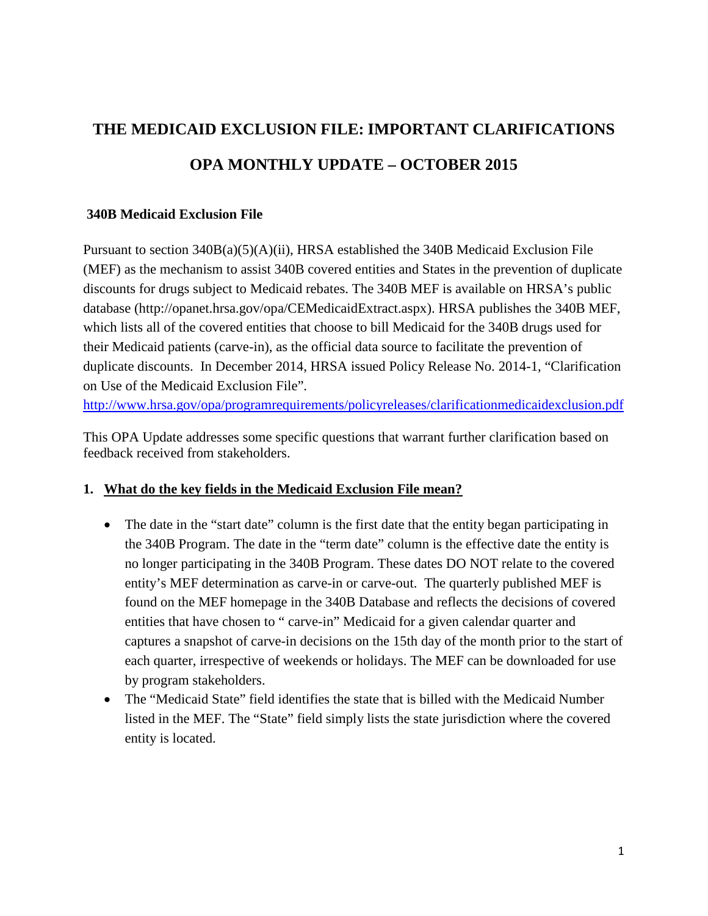# **THE MEDICAID EXCLUSION FILE: IMPORTANT CLARIFICATIONS OPA MONTHLY UPDATE – OCTOBER 2015**

#### **340B Medicaid Exclusion File**

Pursuant to section 340B(a)(5)(A)(ii), HRSA established the 340B Medicaid Exclusion File (MEF) as the mechanism to assist 340B covered entities and States in the prevention of duplicate discounts for drugs subject to Medicaid rebates. The 340B MEF is available on HRSA's public database (http://opanet.hrsa.gov/opa/CEMedicaidExtract.aspx). HRSA publishes the 340B MEF, which lists all of the covered entities that choose to bill Medicaid for the 340B drugs used for their Medicaid patients (carve-in), as the official data source to facilitate the prevention of duplicate discounts. In December 2014, HRSA issued Policy Release No. 2014-1, "Clarification on Use of the Medicaid Exclusion File".

<http://www.hrsa.gov/opa/programrequirements/policyreleases/clarificationmedicaidexclusion.pdf>

This OPA Update addresses some specific questions that warrant further clarification based on feedback received from stakeholders.

### **1. What do the key fields in the Medicaid Exclusion File mean?**

- The date in the "start date" column is the first date that the entity began participating in the 340B Program. The date in the "term date" column is the effective date the entity is no longer participating in the 340B Program. These dates DO NOT relate to the covered entity's MEF determination as carve-in or carve-out. The quarterly published MEF is found on the MEF homepage in the 340B Database and reflects the decisions of covered entities that have chosen to " carve-in" Medicaid for a given calendar quarter and captures a snapshot of carve-in decisions on the 15th day of the month prior to the start of each quarter, irrespective of weekends or holidays. The MEF can be downloaded for use by program stakeholders.
- The "Medicaid State" field identifies the state that is billed with the Medicaid Number listed in the MEF. The "State" field simply lists the state jurisdiction where the covered entity is located.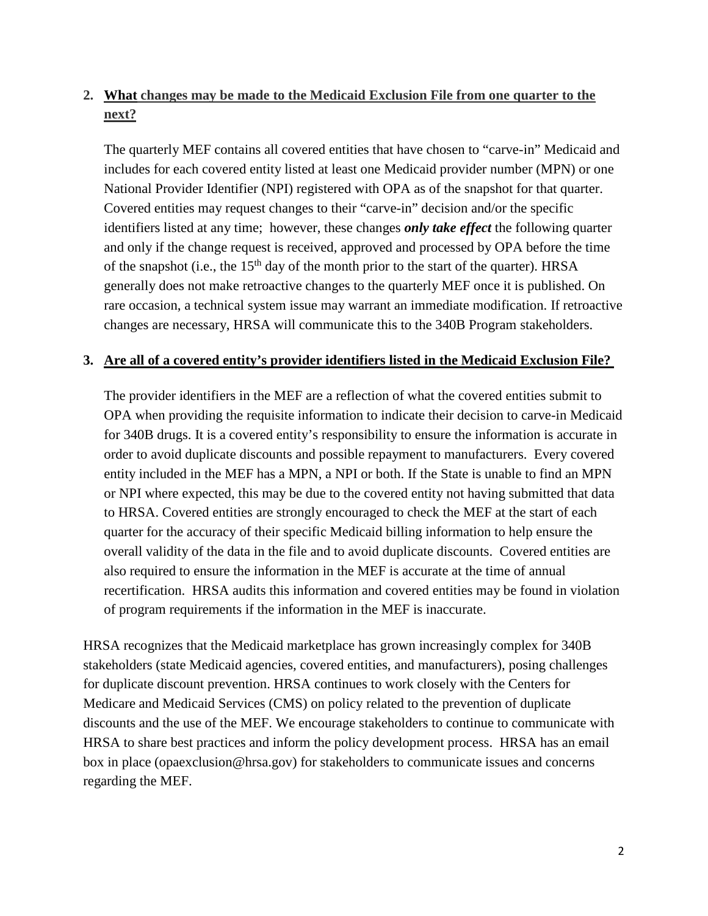## **2. What changes may be made to the Medicaid Exclusion File from one quarter to the next?**

The quarterly MEF contains all covered entities that have chosen to "carve-in" Medicaid and includes for each covered entity listed at least one Medicaid provider number (MPN) or one National Provider Identifier (NPI) registered with OPA as of the snapshot for that quarter. Covered entities may request changes to their "carve-in" decision and/or the specific identifiers listed at any time; however, these changes *only take effect* the following quarter and only if the change request is received, approved and processed by OPA before the time of the snapshot (i.e., the  $15<sup>th</sup>$  day of the month prior to the start of the quarter). HRSA generally does not make retroactive changes to the quarterly MEF once it is published. On rare occasion, a technical system issue may warrant an immediate modification. If retroactive changes are necessary, HRSA will communicate this to the 340B Program stakeholders.

#### **3. Are all of a covered entity's provider identifiers listed in the Medicaid Exclusion File?**

The provider identifiers in the MEF are a reflection of what the covered entities submit to OPA when providing the requisite information to indicate their decision to carve-in Medicaid for 340B drugs. It is a covered entity's responsibility to ensure the information is accurate in order to avoid duplicate discounts and possible repayment to manufacturers. Every covered entity included in the MEF has a MPN, a NPI or both. If the State is unable to find an MPN or NPI where expected, this may be due to the covered entity not having submitted that data to HRSA. Covered entities are strongly encouraged to check the MEF at the start of each quarter for the accuracy of their specific Medicaid billing information to help ensure the overall validity of the data in the file and to avoid duplicate discounts. Covered entities are also required to ensure the information in the MEF is accurate at the time of annual recertification. HRSA audits this information and covered entities may be found in violation of program requirements if the information in the MEF is inaccurate.

HRSA recognizes that the Medicaid marketplace has grown increasingly complex for 340B stakeholders (state Medicaid agencies, covered entities, and manufacturers), posing challenges for duplicate discount prevention. HRSA continues to work closely with the Centers for Medicare and Medicaid Services (CMS) on policy related to the prevention of duplicate discounts and the use of the MEF. We encourage stakeholders to continue to communicate with HRSA to share best practices and inform the policy development process. HRSA has an email box in place (opaexclusion@hrsa.gov) for stakeholders to communicate issues and concerns regarding the MEF.